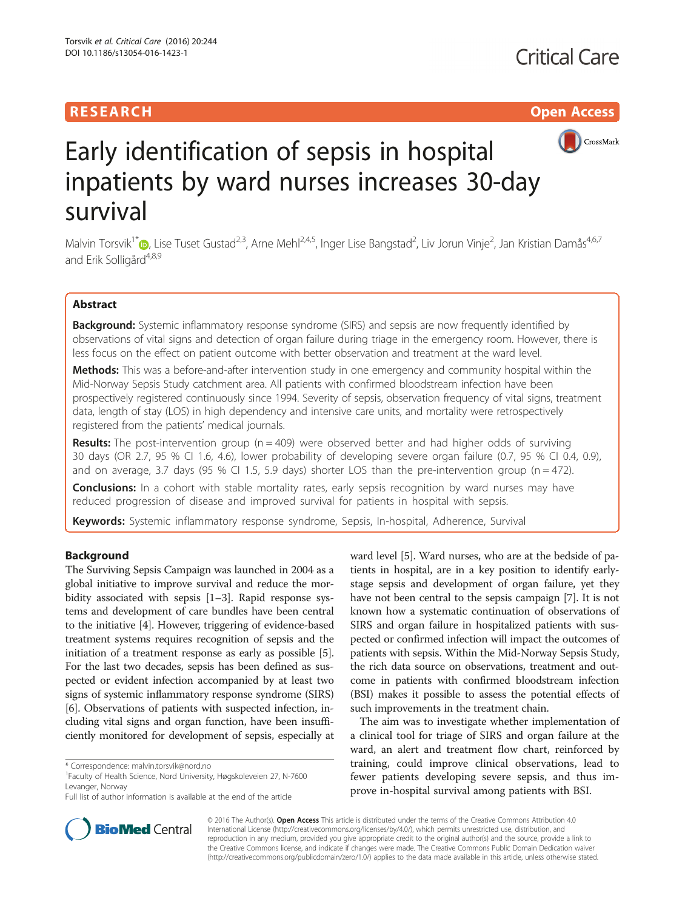# **RESEARCH CHILD CONTROL** CONTROL CONTROL CONTROL CONTROL CONTROL CONTROL CONTROL CONTROL CONTROL CONTROL CONTROL



# Early identification of sepsis in hospital inpatients by ward nurses increases 30-day survival

Malvin Torsvik<sup>1\*</sup>�, Lise Tuset Gustad<sup>2,3</sup>, Arne Mehl<sup>2,4,5</sup>, Inger Lise Bangstad<sup>2</sup>, Liv Jorun Vinje<sup>2</sup>, Jan Kristian Damås<sup>4,6,7</sup> and Erik Solligård<sup>4,8,9</sup>

# Abstract

Background: Systemic inflammatory response syndrome (SIRS) and sepsis are now frequently identified by observations of vital signs and detection of organ failure during triage in the emergency room. However, there is less focus on the effect on patient outcome with better observation and treatment at the ward level.

Methods: This was a before-and-after intervention study in one emergency and community hospital within the Mid-Norway Sepsis Study catchment area. All patients with confirmed bloodstream infection have been prospectively registered continuously since 1994. Severity of sepsis, observation frequency of vital signs, treatment data, length of stay (LOS) in high dependency and intensive care units, and mortality were retrospectively registered from the patients' medical journals.

**Results:** The post-intervention group ( $n = 409$ ) were observed better and had higher odds of surviving 30 days (OR 2.7, 95 % CI 1.6, 4.6), lower probability of developing severe organ failure (0.7, 95 % CI 0.4, 0.9), and on average, 3.7 days (95 % CI 1.5, 5.9 days) shorter LOS than the pre-intervention group ( $n = 472$ ).

**Conclusions:** In a cohort with stable mortality rates, early sepsis recognition by ward nurses may have reduced progression of disease and improved survival for patients in hospital with sepsis.

Keywords: Systemic inflammatory response syndrome, Sepsis, In-hospital, Adherence, Survival

# Background

The Surviving Sepsis Campaign was launched in 2004 as a global initiative to improve survival and reduce the morbidity associated with sepsis [\[1](#page-7-0)–[3\]](#page-7-0). Rapid response systems and development of care bundles have been central to the initiative [\[4\]](#page-7-0). However, triggering of evidence-based treatment systems requires recognition of sepsis and the initiation of a treatment response as early as possible [[5](#page-7-0)]. For the last two decades, sepsis has been defined as suspected or evident infection accompanied by at least two signs of systemic inflammatory response syndrome (SIRS) [[6\]](#page-7-0). Observations of patients with suspected infection, including vital signs and organ function, have been insufficiently monitored for development of sepsis, especially at

ward level [\[5](#page-7-0)]. Ward nurses, who are at the bedside of patients in hospital, are in a key position to identify earlystage sepsis and development of organ failure, yet they have not been central to the sepsis campaign [\[7](#page-7-0)]. It is not known how a systematic continuation of observations of SIRS and organ failure in hospitalized patients with suspected or confirmed infection will impact the outcomes of patients with sepsis. Within the Mid-Norway Sepsis Study, the rich data source on observations, treatment and outcome in patients with confirmed bloodstream infection (BSI) makes it possible to assess the potential effects of such improvements in the treatment chain.

The aim was to investigate whether implementation of a clinical tool for triage of SIRS and organ failure at the ward, an alert and treatment flow chart, reinforced by training, could improve clinical observations, lead to fewer patients developing severe sepsis, and thus improve in-hospital survival among patients with BSI.



© 2016 The Author(s). Open Access This article is distributed under the terms of the Creative Commons Attribution 4.0 International License [\(http://creativecommons.org/licenses/by/4.0/](http://creativecommons.org/licenses/by/4.0/)), which permits unrestricted use, distribution, and reproduction in any medium, provided you give appropriate credit to the original author(s) and the source, provide a link to the Creative Commons license, and indicate if changes were made. The Creative Commons Public Domain Dedication waiver [\(http://creativecommons.org/publicdomain/zero/1.0/](http://creativecommons.org/publicdomain/zero/1.0/)) applies to the data made available in this article, unless otherwise stated.

<sup>\*</sup> Correspondence: [malvin.torsvik@nord.no](mailto:malvin.torsvik@nord.no) <sup>1</sup>

<sup>&</sup>lt;sup>1</sup>Faculty of Health Science, Nord University, Høgskoleveien 27, N-7600 Levanger, Norway

Full list of author information is available at the end of the article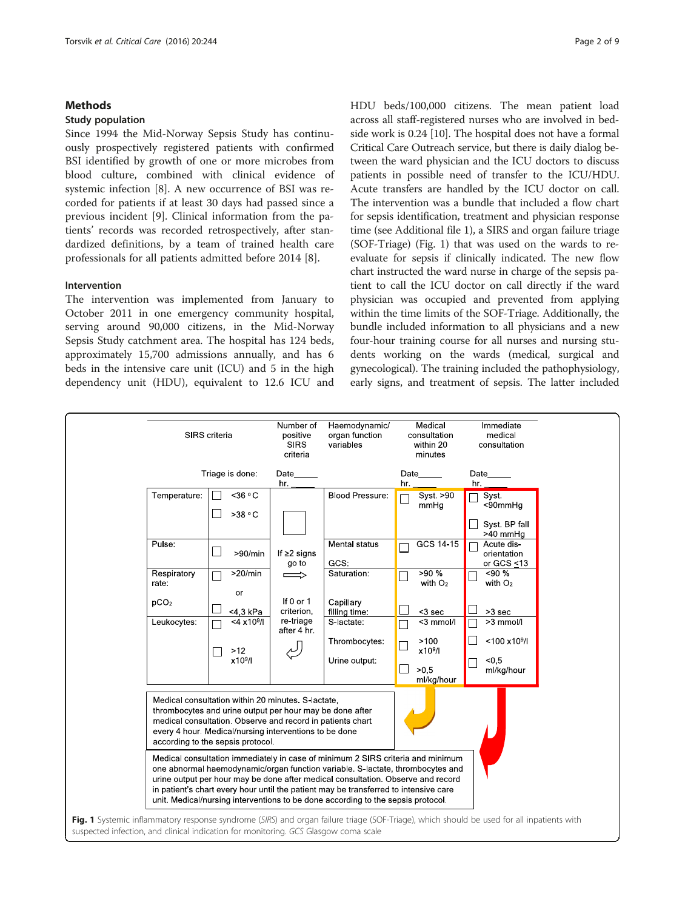# Methods

#### Study population

Since 1994 the Mid-Norway Sepsis Study has continuously prospectively registered patients with confirmed BSI identified by growth of one or more microbes from blood culture, combined with clinical evidence of systemic infection [[8\]](#page-7-0). A new occurrence of BSI was recorded for patients if at least 30 days had passed since a previous incident [\[9](#page-7-0)]. Clinical information from the patients' records was recorded retrospectively, after standardized definitions, by a team of trained health care professionals for all patients admitted before 2014 [[8\]](#page-7-0).

#### Intervention

The intervention was implemented from January to October 2011 in one emergency community hospital, serving around 90,000 citizens, in the Mid-Norway Sepsis Study catchment area. The hospital has 124 beds, approximately 15,700 admissions annually, and has 6 beds in the intensive care unit (ICU) and 5 in the high dependency unit (HDU), equivalent to 12.6 ICU and HDU beds/100,000 citizens. The mean patient load across all staff-registered nurses who are involved in bedside work is 0.24 [\[10\]](#page-7-0). The hospital does not have a formal Critical Care Outreach service, but there is daily dialog between the ward physician and the ICU doctors to discuss patients in possible need of transfer to the ICU/HDU. Acute transfers are handled by the ICU doctor on call. The intervention was a bundle that included a flow chart for sepsis identification, treatment and physician response time (see Additional file [1](#page-6-0)), a SIRS and organ failure triage (SOF-Triage) (Fig. 1) that was used on the wards to reevaluate for sepsis if clinically indicated. The new flow chart instructed the ward nurse in charge of the sepsis patient to call the ICU doctor on call directly if the ward physician was occupied and prevented from applying within the time limits of the SOF-Triage. Additionally, the bundle included information to all physicians and a new four-hour training course for all nurses and nursing students working on the wards (medical, surgical and gynecological). The training included the pathophysiology, early signs, and treatment of sepsis. The latter included

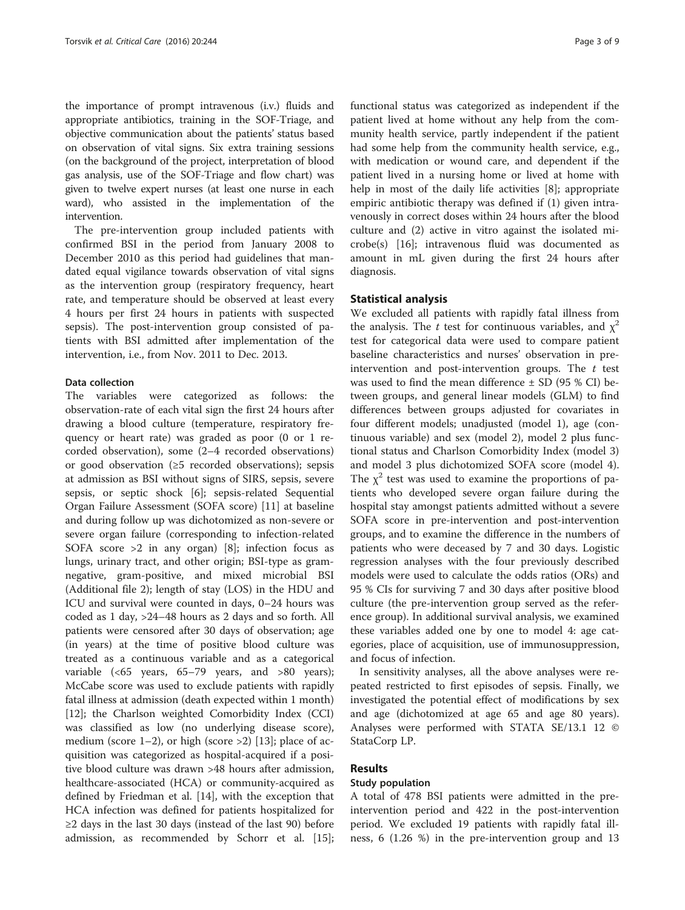the importance of prompt intravenous (i.v.) fluids and appropriate antibiotics, training in the SOF-Triage, and objective communication about the patients' status based on observation of vital signs. Six extra training sessions (on the background of the project, interpretation of blood gas analysis, use of the SOF-Triage and flow chart) was given to twelve expert nurses (at least one nurse in each ward), who assisted in the implementation of the intervention.

The pre-intervention group included patients with confirmed BSI in the period from January 2008 to December 2010 as this period had guidelines that mandated equal vigilance towards observation of vital signs as the intervention group (respiratory frequency, heart rate, and temperature should be observed at least every 4 hours per first 24 hours in patients with suspected sepsis). The post-intervention group consisted of patients with BSI admitted after implementation of the intervention, i.e., from Nov. 2011 to Dec. 2013.

# Data collection

The variables were categorized as follows: the observation-rate of each vital sign the first 24 hours after drawing a blood culture (temperature, respiratory frequency or heart rate) was graded as poor (0 or 1 recorded observation), some (2–4 recorded observations) or good observation (≥5 recorded observations); sepsis at admission as BSI without signs of SIRS, sepsis, severe sepsis, or septic shock [\[6\]](#page-7-0); sepsis-related Sequential Organ Failure Assessment (SOFA score) [[11](#page-7-0)] at baseline and during follow up was dichotomized as non-severe or severe organ failure (corresponding to infection-related SOFA score >2 in any organ) [[8\]](#page-7-0); infection focus as lungs, urinary tract, and other origin; BSI-type as gramnegative, gram-positive, and mixed microbial BSI (Additional file [2\)](#page-6-0); length of stay (LOS) in the HDU and ICU and survival were counted in days, 0–24 hours was coded as 1 day, >24–48 hours as 2 days and so forth. All patients were censored after 30 days of observation; age (in years) at the time of positive blood culture was treated as a continuous variable and as a categorical variable (<65 years, 65–79 years, and >80 years); McCabe score was used to exclude patients with rapidly fatal illness at admission (death expected within 1 month) [[12\]](#page-7-0); the Charlson weighted Comorbidity Index (CCI) was classified as low (no underlying disease score), medium (score  $1-2$ ), or high (score  $>2$ ) [\[13\]](#page-7-0); place of acquisition was categorized as hospital-acquired if a positive blood culture was drawn >48 hours after admission, healthcare-associated (HCA) or community-acquired as defined by Friedman et al. [\[14\]](#page-7-0), with the exception that HCA infection was defined for patients hospitalized for ≥2 days in the last 30 days (instead of the last 90) before admission, as recommended by Schorr et al. [\[15](#page-7-0)];

functional status was categorized as independent if the patient lived at home without any help from the community health service, partly independent if the patient had some help from the community health service, e.g., with medication or wound care, and dependent if the patient lived in a nursing home or lived at home with help in most of the daily life activities [[8\]](#page-7-0); appropriate empiric antibiotic therapy was defined if (1) given intravenously in correct doses within 24 hours after the blood culture and (2) active in vitro against the isolated microbe(s) [[16\]](#page-7-0); intravenous fluid was documented as amount in mL given during the first 24 hours after diagnosis.

#### Statistical analysis

We excluded all patients with rapidly fatal illness from the analysis. The t test for continuous variables, and  $\chi^2$ test for categorical data were used to compare patient baseline characteristics and nurses' observation in preintervention and post-intervention groups. The  $t$  test was used to find the mean difference  $\pm$  SD (95 % CI) between groups, and general linear models (GLM) to find differences between groups adjusted for covariates in four different models; unadjusted (model 1), age (continuous variable) and sex (model 2), model 2 plus functional status and Charlson Comorbidity Index (model 3) and model 3 plus dichotomized SOFA score (model 4). The  $\chi^2$  test was used to examine the proportions of patients who developed severe organ failure during the hospital stay amongst patients admitted without a severe SOFA score in pre-intervention and post-intervention groups, and to examine the difference in the numbers of patients who were deceased by 7 and 30 days. Logistic regression analyses with the four previously described models were used to calculate the odds ratios (ORs) and 95 % CIs for surviving 7 and 30 days after positive blood culture (the pre-intervention group served as the reference group). In additional survival analysis, we examined these variables added one by one to model 4: age categories, place of acquisition, use of immunosuppression, and focus of infection.

In sensitivity analyses, all the above analyses were repeated restricted to first episodes of sepsis. Finally, we investigated the potential effect of modifications by sex and age (dichotomized at age 65 and age 80 years). Analyses were performed with STATA SE/13.1 12 © StataCorp LP.

### Results

### Study population

A total of 478 BSI patients were admitted in the preintervention period and 422 in the post-intervention period. We excluded 19 patients with rapidly fatal illness, 6 (1.26 %) in the pre-intervention group and 13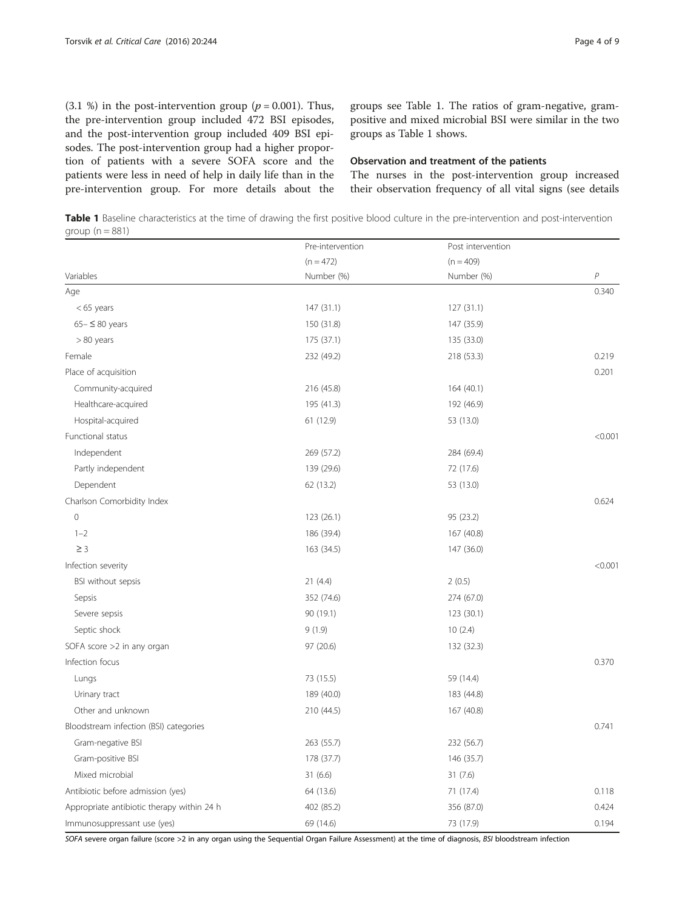(3.1 %) in the post-intervention group ( $p = 0.001$ ). Thus, the pre-intervention group included 472 BSI episodes, and the post-intervention group included 409 BSI episodes. The post-intervention group had a higher proportion of patients with a severe SOFA score and the patients were less in need of help in daily life than in the pre-intervention group. For more details about the groups see Table 1. The ratios of gram-negative, grampositive and mixed microbial BSI were similar in the two groups as Table 1 shows.

#### Observation and treatment of the patients

The nurses in the post-intervention group increased their observation frequency of all vital signs (see details

Table 1 Baseline characteristics at the time of drawing the first positive blood culture in the pre-intervention and post-intervention group  $(n = 881)$ 

| Variables                                  | Pre-intervention<br>$(n = 472)$<br>Number (%) | Post intervention<br>$(n = 409)$ | $\overline{P}$ |
|--------------------------------------------|-----------------------------------------------|----------------------------------|----------------|
|                                            |                                               |                                  |                |
|                                            |                                               | Age                              |                |
| $<$ 65 years                               | 147 (31.1)                                    | 127 (31.1)                       |                |
| $65 - \leq 80$ years                       | 150 (31.8)                                    | 147 (35.9)                       |                |
| $> 80$ years                               | 175 (37.1)                                    | 135 (33.0)                       |                |
| Female                                     | 232 (49.2)                                    | 218 (53.3)                       | 0.219          |
| Place of acquisition                       |                                               |                                  | 0.201          |
| Community-acquired                         | 216 (45.8)                                    | 164 (40.1)                       |                |
| Healthcare-acquired                        | 195 (41.3)                                    | 192 (46.9)                       |                |
| Hospital-acquired                          | 61 (12.9)                                     | 53 (13.0)                        |                |
| Functional status                          |                                               |                                  | < 0.001        |
| Independent                                | 269 (57.2)                                    | 284 (69.4)                       |                |
| Partly independent                         | 139 (29.6)                                    | 72 (17.6)                        |                |
| Dependent                                  | 62 (13.2)                                     | 53 (13.0)                        |                |
| Charlson Comorbidity Index                 |                                               |                                  | 0.624          |
| $\overline{0}$                             | 123 (26.1)                                    | 95 (23.2)                        |                |
| $1 - 2$                                    | 186 (39.4)                                    | 167 (40.8)                       |                |
| $\geq$ 3                                   | 163 (34.5)                                    | 147 (36.0)                       |                |
| Infection severity                         |                                               |                                  | < 0.001        |
| BSI without sepsis                         | 21(4.4)                                       | 2(0.5)                           |                |
| Sepsis                                     | 352 (74.6)                                    | 274 (67.0)                       |                |
| Severe sepsis                              | 90 (19.1)                                     | 123 (30.1)                       |                |
| Septic shock                               | 9(1.9)                                        | 10(2.4)                          |                |
| SOFA score >2 in any organ                 | 97 (20.6)                                     | 132 (32.3)                       |                |
| Infection focus                            |                                               |                                  | 0.370          |
| Lungs                                      | 73 (15.5)                                     | 59 (14.4)                        |                |
| Urinary tract                              | 189 (40.0)                                    | 183 (44.8)                       |                |
| Other and unknown                          | 210 (44.5)                                    | 167 (40.8)                       |                |
| Bloodstream infection (BSI) categories     |                                               |                                  | 0.741          |
| Gram-negative BSI                          | 263 (55.7)                                    | 232 (56.7)                       |                |
| Gram-positive BSI                          | 178 (37.7)                                    | 146 (35.7)                       |                |
| Mixed microbial                            | 31(6.6)                                       | 31(7.6)                          |                |
| Antibiotic before admission (yes)          | 64 (13.6)                                     | 71 (17.4)                        | 0.118          |
| Appropriate antibiotic therapy within 24 h | 402 (85.2)                                    | 356 (87.0)                       | 0.424          |
| Immunosuppressant use (yes)                | 69 (14.6)                                     | 73 (17.9)                        | 0.194          |

SOFA severe organ failure (score >2 in any organ using the Sequential Organ Failure Assessment) at the time of diagnosis, BSI bloodstream infection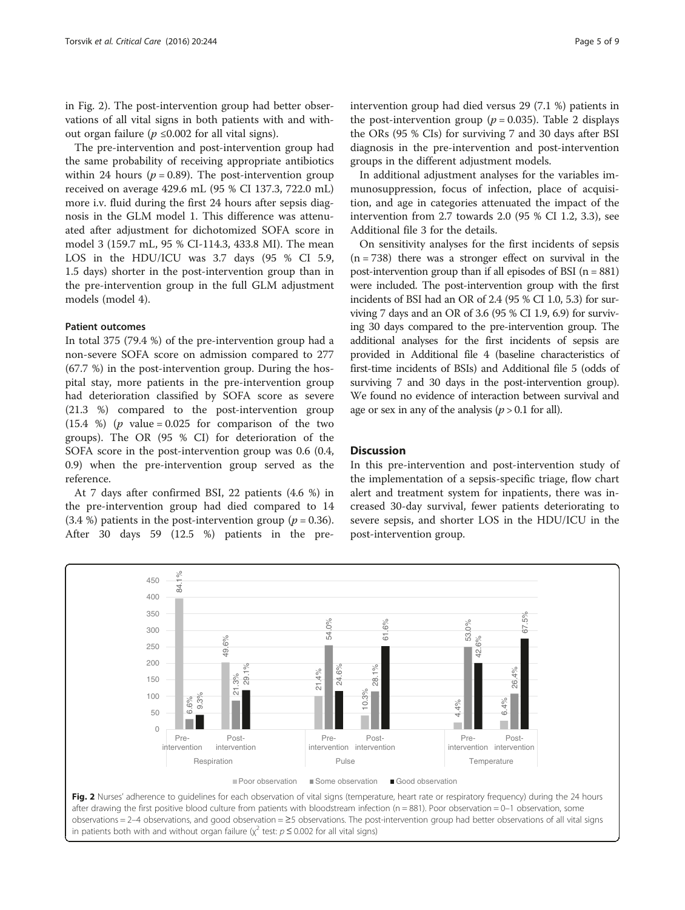in Fig. 2). The post-intervention group had better observations of all vital signs in both patients with and without organ failure ( $p \le 0.002$  for all vital signs).

The pre-intervention and post-intervention group had the same probability of receiving appropriate antibiotics within 24 hours ( $p = 0.89$ ). The post-intervention group received on average 429.6 mL (95 % CI 137.3, 722.0 mL) more i.v. fluid during the first 24 hours after sepsis diagnosis in the GLM model 1. This difference was attenuated after adjustment for dichotomized SOFA score in model 3 (159.7 mL, 95 % CI-114.3, 433.8 MI). The mean LOS in the HDU/ICU was 3.7 days (95 % CI 5.9, 1.5 days) shorter in the post-intervention group than in the pre-intervention group in the full GLM adjustment models (model 4).

#### Patient outcomes

In total 375 (79.4 %) of the pre-intervention group had a non-severe SOFA score on admission compared to 277 (67.7 %) in the post-intervention group. During the hospital stay, more patients in the pre-intervention group had deterioration classified by SOFA score as severe (21.3 %) compared to the post-intervention group  $(15.4 \%)$  (*p* value = 0.025 for comparison of the two groups). The OR (95 % CI) for deterioration of the SOFA score in the post-intervention group was 0.6 (0.4, 0.9) when the pre-intervention group served as the reference.

At 7 days after confirmed BSI, 22 patients (4.6 %) in the pre-intervention group had died compared to 14 (3.4 %) patients in the post-intervention group ( $p = 0.36$ ). After 30 days 59 (12.5 %) patients in the preintervention group had died versus 29 (7.1 %) patients in the post-intervention group ( $p = 0.035$ ). Table [2](#page-5-0) displays the ORs (95 % CIs) for surviving 7 and 30 days after BSI diagnosis in the pre-intervention and post-intervention groups in the different adjustment models.

In additional adjustment analyses for the variables immunosuppression, focus of infection, place of acquisition, and age in categories attenuated the impact of the intervention from 2.7 towards 2.0 (95 % CI 1.2, 3.3), see Additional file [3](#page-6-0) for the details.

On sensitivity analyses for the first incidents of sepsis  $(n = 738)$  there was a stronger effect on survival in the post-intervention group than if all episodes of BSI  $(n = 881)$ were included. The post-intervention group with the first incidents of BSI had an OR of 2.4 (95 % CI 1.0, 5.3) for surviving 7 days and an OR of 3.6 (95 % CI 1.9, 6.9) for surviving 30 days compared to the pre-intervention group. The additional analyses for the first incidents of sepsis are provided in Additional file [4](#page-6-0) (baseline characteristics of first-time incidents of BSIs) and Additional file [5](#page-6-0) (odds of surviving 7 and 30 days in the post-intervention group). We found no evidence of interaction between survival and age or sex in any of the analysis  $(p > 0.1$  for all).

# **Discussion**

In this pre-intervention and post-intervention study of the implementation of a sepsis-specific triage, flow chart alert and treatment system for inpatients, there was increased 30-day survival, fewer patients deteriorating to severe sepsis, and shorter LOS in the HDU/ICU in the post-intervention group.



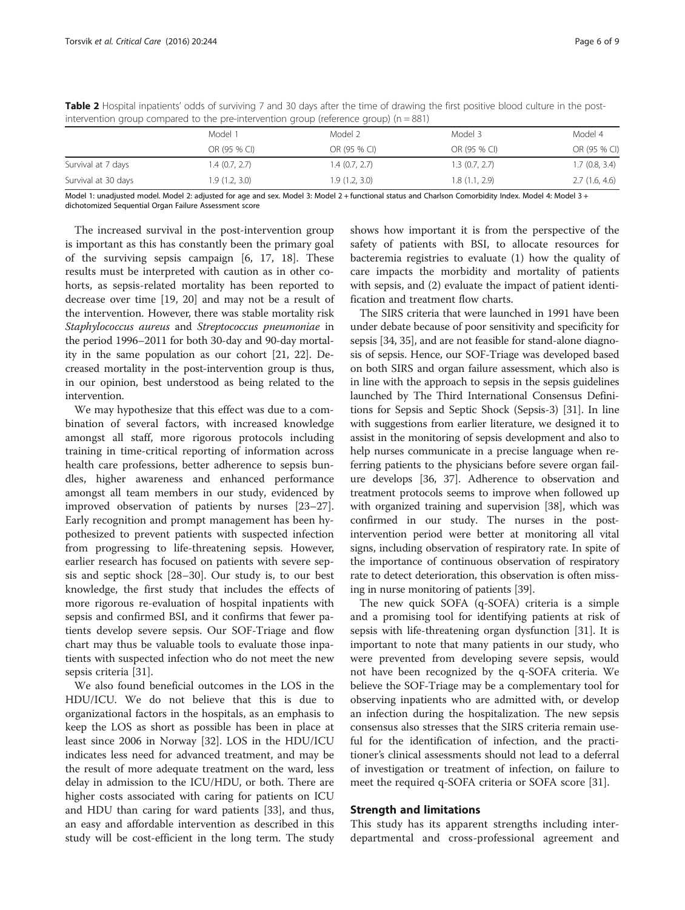| Model 1        | Model 2      | Model 3                        | Model 4                        |
|----------------|--------------|--------------------------------|--------------------------------|
| OR (95 % CI)   | OR (95 % CI) | OR (95 % CI)                   | OR (95 % CI)                   |
| 1.4 (0.7, 2.7) |              |                                | 1.7(0.8, 3.4)                  |
| 1.9(1.2, 3.0)  |              |                                | 2.7(1.6, 4.6)                  |
|                |              | 1.4(0.7, 2.7)<br>1.9(1.2, 3.0) | 1.3(0.7, 2.7)<br>1.8(1.1, 2.9) |

<span id="page-5-0"></span>Table 2 Hospital inpatients' odds of surviving 7 and 30 days after the time of drawing the first positive blood culture in the postintervention group compared to the pre-intervention group (reference group) ( $n = 881$ )

Model 1: unadjusted model. Model 2: adjusted for age and sex. Model 3: Model 2 + functional status and Charlson Comorbidity Index. Model 4: Model 3 + dichotomized Sequential Organ Failure Assessment score

The increased survival in the post-intervention group is important as this has constantly been the primary goal of the surviving sepsis campaign [[6, 17](#page-7-0), [18](#page-7-0)]. These results must be interpreted with caution as in other cohorts, as sepsis-related mortality has been reported to decrease over time [[19, 20\]](#page-7-0) and may not be a result of the intervention. However, there was stable mortality risk Staphylococcus aureus and Streptococcus pneumoniae in the period 1996–2011 for both 30-day and 90-day mortality in the same population as our cohort [[21](#page-7-0), [22\]](#page-7-0). Decreased mortality in the post-intervention group is thus, in our opinion, best understood as being related to the intervention.

We may hypothesize that this effect was due to a combination of several factors, with increased knowledge amongst all staff, more rigorous protocols including training in time-critical reporting of information across health care professions, better adherence to sepsis bundles, higher awareness and enhanced performance amongst all team members in our study, evidenced by improved observation of patients by nurses [[23](#page-7-0)–[27](#page-7-0)]. Early recognition and prompt management has been hypothesized to prevent patients with suspected infection from progressing to life-threatening sepsis. However, earlier research has focused on patients with severe sepsis and septic shock [[28](#page-7-0)–[30](#page-7-0)]. Our study is, to our best knowledge, the first study that includes the effects of more rigorous re-evaluation of hospital inpatients with sepsis and confirmed BSI, and it confirms that fewer patients develop severe sepsis. Our SOF-Triage and flow chart may thus be valuable tools to evaluate those inpatients with suspected infection who do not meet the new sepsis criteria [\[31\]](#page-7-0).

We also found beneficial outcomes in the LOS in the HDU/ICU. We do not believe that this is due to organizational factors in the hospitals, as an emphasis to keep the LOS as short as possible has been in place at least since 2006 in Norway [[32\]](#page-7-0). LOS in the HDU/ICU indicates less need for advanced treatment, and may be the result of more adequate treatment on the ward, less delay in admission to the ICU/HDU, or both. There are higher costs associated with caring for patients on ICU and HDU than caring for ward patients [\[33](#page-7-0)], and thus, an easy and affordable intervention as described in this study will be cost-efficient in the long term. The study shows how important it is from the perspective of the safety of patients with BSI, to allocate resources for bacteremia registries to evaluate (1) how the quality of care impacts the morbidity and mortality of patients with sepsis, and (2) evaluate the impact of patient identification and treatment flow charts.

The SIRS criteria that were launched in 1991 have been under debate because of poor sensitivity and specificity for sepsis [\[34, 35](#page-7-0)], and are not feasible for stand-alone diagnosis of sepsis. Hence, our SOF-Triage was developed based on both SIRS and organ failure assessment, which also is in line with the approach to sepsis in the sepsis guidelines launched by The Third International Consensus Definitions for Sepsis and Septic Shock (Sepsis-3) [[31](#page-7-0)]. In line with suggestions from earlier literature, we designed it to assist in the monitoring of sepsis development and also to help nurses communicate in a precise language when referring patients to the physicians before severe organ failure develops [\[36, 37\]](#page-8-0). Adherence to observation and treatment protocols seems to improve when followed up with organized training and supervision [[38](#page-8-0)], which was confirmed in our study. The nurses in the postintervention period were better at monitoring all vital signs, including observation of respiratory rate. In spite of the importance of continuous observation of respiratory rate to detect deterioration, this observation is often missing in nurse monitoring of patients [\[39\]](#page-8-0).

The new quick SOFA (q-SOFA) criteria is a simple and a promising tool for identifying patients at risk of sepsis with life-threatening organ dysfunction [[31\]](#page-7-0). It is important to note that many patients in our study, who were prevented from developing severe sepsis, would not have been recognized by the q-SOFA criteria. We believe the SOF-Triage may be a complementary tool for observing inpatients who are admitted with, or develop an infection during the hospitalization. The new sepsis consensus also stresses that the SIRS criteria remain useful for the identification of infection, and the practitioner's clinical assessments should not lead to a deferral of investigation or treatment of infection, on failure to meet the required q-SOFA criteria or SOFA score [\[31\]](#page-7-0).

# Strength and limitations

This study has its apparent strengths including interdepartmental and cross-professional agreement and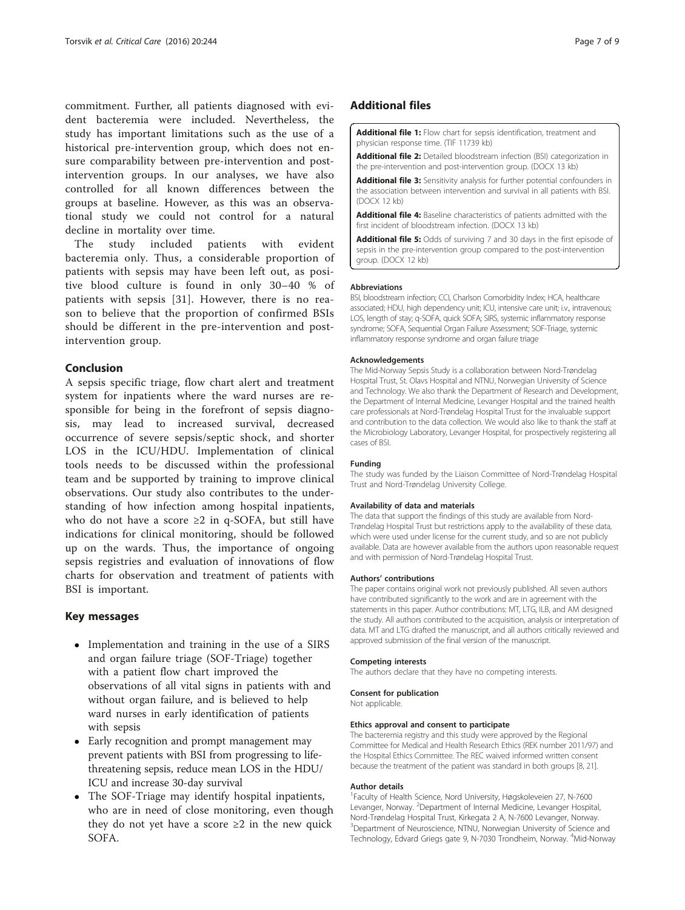<span id="page-6-0"></span>commitment. Further, all patients diagnosed with evident bacteremia were included. Nevertheless, the study has important limitations such as the use of a historical pre-intervention group, which does not ensure comparability between pre-intervention and postintervention groups. In our analyses, we have also controlled for all known differences between the groups at baseline. However, as this was an observational study we could not control for a natural decline in mortality over time.

The study included patients with evident bacteremia only. Thus, a considerable proportion of patients with sepsis may have been left out, as positive blood culture is found in only 30–40 % of patients with sepsis [[31\]](#page-7-0). However, there is no reason to believe that the proportion of confirmed BSIs should be different in the pre-intervention and postintervention group.

## Conclusion

A sepsis specific triage, flow chart alert and treatment system for inpatients where the ward nurses are responsible for being in the forefront of sepsis diagnosis, may lead to increased survival, decreased occurrence of severe sepsis/septic shock, and shorter LOS in the ICU/HDU. Implementation of clinical tools needs to be discussed within the professional team and be supported by training to improve clinical observations. Our study also contributes to the understanding of how infection among hospital inpatients, who do not have a score ≥2 in q-SOFA, but still have indications for clinical monitoring, should be followed up on the wards. Thus, the importance of ongoing sepsis registries and evaluation of innovations of flow charts for observation and treatment of patients with BSI is important.

# Key messages

- Implementation and training in the use of a SIRS and organ failure triage (SOF-Triage) together with a patient flow chart improved the observations of all vital signs in patients with and without organ failure, and is believed to help ward nurses in early identification of patients with sepsis
- Early recognition and prompt management may prevent patients with BSI from progressing to lifethreatening sepsis, reduce mean LOS in the HDU/ ICU and increase 30-day survival
- The SOF-Triage may identify hospital inpatients, who are in need of close monitoring, even though they do not yet have a score  $\geq 2$  in the new quick SOFA.

# Additional files

[Additional file 1:](dx.doi.org/10.1186/s13054-016-1423-1) Flow chart for sepsis identification, treatment and physician response time. (TIF 11739 kb)

[Additional file 2:](dx.doi.org/10.1186/s13054-016-1423-1) Detailed bloodstream infection (BSI) categorization in the pre-intervention and post-intervention group. (DOCX 13 kb)

[Additional file 3:](dx.doi.org/10.1186/s13054-016-1423-1) Sensitivity analysis for further potential confounders in the association between intervention and survival in all patients with BSI. (DOCX 12 kb)

[Additional file 4:](dx.doi.org/10.1186/s13054-016-1423-1) Baseline characteristics of patients admitted with the first incident of bloodstream infection. (DOCX 13 kb)

[Additional file 5:](dx.doi.org/10.1186/s13054-016-1423-1) Odds of surviving 7 and 30 days in the first episode of sepsis in the pre-intervention group compared to the post-intervention group. (DOCX 12 kb)

#### Abbreviations

BSI, bloodstream infection; CCI, Charlson Comorbidity Index; HCA, healthcare associated; HDU, high dependency unit; ICU, intensive care unit; i.v., intravenous; LOS, length of stay; q-SOFA, quick SOFA; SIRS, systemic inflammatory response syndrome; SOFA, Sequential Organ Failure Assessment; SOF-Triage, systemic inflammatory response syndrome and organ failure triage

#### Acknowledgements

The Mid-Norway Sepsis Study is a collaboration between Nord-Trøndelag Hospital Trust, St. Olavs Hospital and NTNU, Norwegian University of Science and Technology. We also thank the Department of Research and Development, the Department of Internal Medicine, Levanger Hospital and the trained health care professionals at Nord-Trøndelag Hospital Trust for the invaluable support and contribution to the data collection. We would also like to thank the staff at the Microbiology Laboratory, Levanger Hospital, for prospectively registering all cases of BSI.

#### Funding

The study was funded by the Liaison Committee of Nord-Trøndelag Hospital Trust and Nord-Trøndelag University College.

#### Availability of data and materials

The data that support the findings of this study are available from Nord-Trøndelag Hospital Trust but restrictions apply to the availability of these data, which were used under license for the current study, and so are not publicly available. Data are however available from the authors upon reasonable request and with permission of Nord-Trøndelag Hospital Trust.

#### Authors' contributions

The paper contains original work not previously published. All seven authors have contributed significantly to the work and are in agreement with the statements in this paper. Author contributions: MT, LTG, ILB, and AM designed the study. All authors contributed to the acquisition, analysis or interpretation of data. MT and LTG drafted the manuscript, and all authors critically reviewed and approved submission of the final version of the manuscript.

#### Competing interests

The authors declare that they have no competing interests.

#### Consent for publication

Not applicable.

#### Ethics approval and consent to participate

The bacteremia registry and this study were approved by the Regional Committee for Medical and Health Research Ethics (REK number 2011/97) and the Hospital Ethics Committee. The REC waived informed written consent because the treatment of the patient was standard in both groups [\[8, 21\]](#page-7-0).

#### Author details

<sup>1</sup>Faculty of Health Science, Nord University, Høgskoleveien 27, N-7600 Levanger, Norway. <sup>2</sup>Department of Internal Medicine, Levanger Hospital Nord-Trøndelag Hospital Trust, Kirkegata 2 A, N-7600 Levanger, Norway. <sup>3</sup>Department of Neuroscience, NTNU, Norwegian University of Science and Technology, Edvard Griegs gate 9, N-7030 Trondheim, Norway. <sup>4</sup>Mid-Norway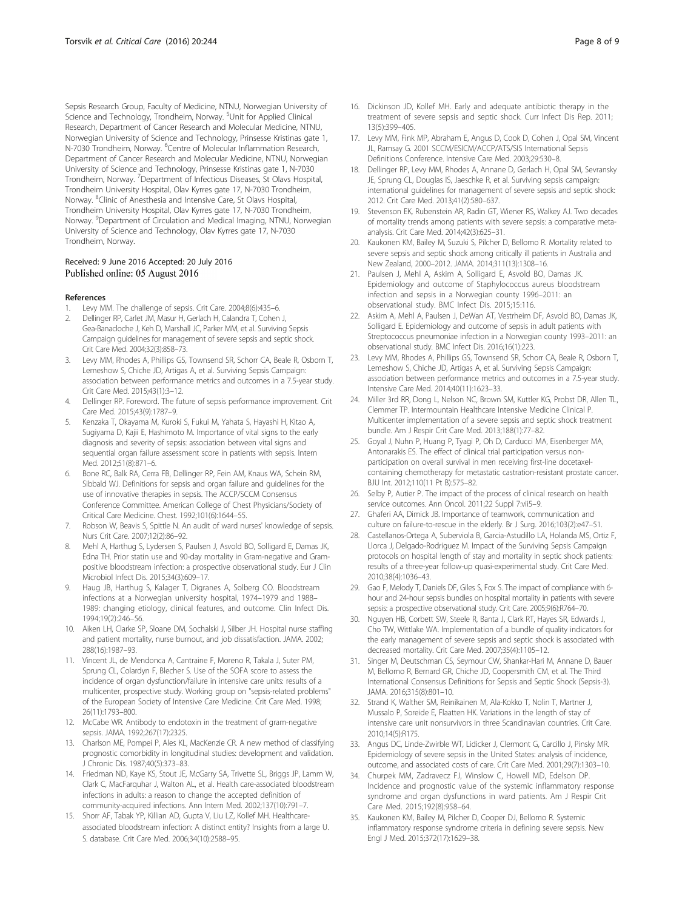<span id="page-7-0"></span>Sepsis Research Group, Faculty of Medicine, NTNU, Norwegian University of Science and Technology, Trondheim, Norway. <sup>5</sup>Unit for Applied Clinical Research, Department of Cancer Research and Molecular Medicine, NTNU, Norwegian University of Science and Technology, Prinsesse Kristinas gate 1, N-7030 Trondheim, Norway. <sup>6</sup>Centre of Molecular Inflammation Research, Department of Cancer Research and Molecular Medicine, NTNU, Norwegian University of Science and Technology, Prinsesse Kristinas gate 1, N-7030 Trondheim, Norway. <sup>7</sup>Department of Infectious Diseases, St Olavs Hospital, Trondheim University Hospital, Olav Kyrres gate 17, N-7030 Trondheim, Norway. <sup>8</sup>Clinic of Anesthesia and Intensive Care, St Olavs Hospital, Trondheim University Hospital, Olav Kyrres gate 17, N-7030 Trondheim, Norway. <sup>9</sup>Department of Circulation and Medical Imaging, NTNU, Norwegian University of Science and Technology, Olav Kyrres gate 17, N-7030 Trondheim, Norway.

#### Received: 9 June 2016 Accepted: 20 July 2016 Published online: 05 August 2016

#### References

- Levy MM. The challenge of sepsis. Crit Care. 2004;8(6):435-6.
- 2. Dellinger RP, Carlet JM, Masur H, Gerlach H, Calandra T, Cohen J, Gea-Banacloche J, Keh D, Marshall JC, Parker MM, et al. Surviving Sepsis Campaign guidelines for management of severe sepsis and septic shock. Crit Care Med. 2004;32(3):858–73.
- 3. Levy MM, Rhodes A, Phillips GS, Townsend SR, Schorr CA, Beale R, Osborn T, Lemeshow S, Chiche JD, Artigas A, et al. Surviving Sepsis Campaign: association between performance metrics and outcomes in a 7.5-year study. Crit Care Med. 2015;43(1):3–12.
- 4. Dellinger RP. Foreword. The future of sepsis performance improvement. Crit Care Med. 2015;43(9):1787–9.
- 5. Kenzaka T, Okayama M, Kuroki S, Fukui M, Yahata S, Hayashi H, Kitao A, Sugiyama D, Kajii E, Hashimoto M. Importance of vital signs to the early diagnosis and severity of sepsis: association between vital signs and sequential organ failure assessment score in patients with sepsis. Intern Med. 2012;51(8):871–6.
- 6. Bone RC, Balk RA, Cerra FB, Dellinger RP, Fein AM, Knaus WA, Schein RM, Sibbald WJ. Definitions for sepsis and organ failure and guidelines for the use of innovative therapies in sepsis. The ACCP/SCCM Consensus Conference Committee. American College of Chest Physicians/Society of Critical Care Medicine. Chest. 1992;101(6):1644–55.
- 7. Robson W, Beavis S, Spittle N. An audit of ward nurses' knowledge of sepsis. Nurs Crit Care. 2007;12(2):86–92.
- 8. Mehl A, Harthug S, Lydersen S, Paulsen J, Asvold BO, Solligard E, Damas JK, Edna TH. Prior statin use and 90-day mortality in Gram-negative and Grampositive bloodstream infection: a prospective observational study. Eur J Clin Microbiol Infect Dis. 2015;34(3):609–17.
- 9. Haug JB, Harthug S, Kalager T, Digranes A, Solberg CO. Bloodstream infections at a Norwegian university hospital, 1974–1979 and 1988– 1989: changing etiology, clinical features, and outcome. Clin Infect Dis. 1994;19(2):246–56.
- 10. Aiken LH, Clarke SP, Sloane DM, Sochalski J, Silber JH. Hospital nurse staffing and patient mortality, nurse burnout, and job dissatisfaction. JAMA. 2002; 288(16):1987–93.
- 11. Vincent JL, de Mendonca A, Cantraine F, Moreno R, Takala J, Suter PM, Sprung CL, Colardyn F, Blecher S. Use of the SOFA score to assess the incidence of organ dysfunction/failure in intensive care units: results of a multicenter, prospective study. Working group on "sepsis-related problems" of the European Society of Intensive Care Medicine. Crit Care Med. 1998; 26(11):1793–800.
- 12. McCabe WR. Antibody to endotoxin in the treatment of gram-negative sepsis. JAMA. 1992;267(17):2325.
- 13. Charlson ME, Pompei P, Ales KL, MacKenzie CR. A new method of classifying prognostic comorbidity in longitudinal studies: development and validation. J Chronic Dis. 1987;40(5):373–83.
- 14. Friedman ND, Kaye KS, Stout JE, McGarry SA, Trivette SL, Briggs JP, Lamm W, Clark C, MacFarquhar J, Walton AL, et al. Health care-associated bloodstream infections in adults: a reason to change the accepted definition of community-acquired infections. Ann Intern Med. 2002;137(10):791–7.
- 15. Shorr AF, Tabak YP, Killian AD, Gupta V, Liu LZ, Kollef MH. Healthcareassociated bloodstream infection: A distinct entity? Insights from a large U. S. database. Crit Care Med. 2006;34(10):2588–95.
- 16. Dickinson JD, Kollef MH. Early and adequate antibiotic therapy in the treatment of severe sepsis and septic shock. Curr Infect Dis Rep. 2011; 13(5):399–405.
- 17. Levy MM, Fink MP, Abraham E, Angus D, Cook D, Cohen J, Opal SM, Vincent JL, Ramsay G. 2001 SCCM/ESICM/ACCP/ATS/SIS International Sepsis Definitions Conference. Intensive Care Med. 2003;29:530–8.
- Dellinger RP, Levy MM, Rhodes A, Annane D, Gerlach H, Opal SM, Sevransky JE, Sprung CL, Douglas IS, Jaeschke R, et al. Surviving sepsis campaign: international guidelines for management of severe sepsis and septic shock: 2012. Crit Care Med. 2013;41(2):580–637.
- 19. Stevenson EK, Rubenstein AR, Radin GT, Wiener RS, Walkey AJ. Two decades of mortality trends among patients with severe sepsis: a comparative metaanalysis. Crit Care Med. 2014;42(3):625–31.
- 20. Kaukonen KM, Bailey M, Suzuki S, Pilcher D, Bellomo R. Mortality related to severe sepsis and septic shock among critically ill patients in Australia and New Zealand, 2000–2012. JAMA. 2014;311(13):1308–16.
- 21. Paulsen J, Mehl A, Askim A, Solligard E, Asvold BO, Damas JK. Epidemiology and outcome of Staphylococcus aureus bloodstream infection and sepsis in a Norwegian county 1996–2011: an observational study. BMC Infect Dis. 2015;15:116.
- 22. Askim A, Mehl A, Paulsen J, DeWan AT, Vestrheim DF, Asvold BO, Damas JK, Solligard E. Epidemiology and outcome of sepsis in adult patients with Streptococcus pneumoniae infection in a Norwegian county 1993–2011: an observational study. BMC Infect Dis. 2016;16(1):223.
- 23. Levy MM, Rhodes A, Phillips GS, Townsend SR, Schorr CA, Beale R, Osborn T, Lemeshow S, Chiche JD, Artigas A, et al. Surviving Sepsis Campaign: association between performance metrics and outcomes in a 7.5-year study. Intensive Care Med. 2014;40(11):1623–33.
- 24. Miller 3rd RR, Dong L, Nelson NC, Brown SM, Kuttler KG, Probst DR, Allen TL, Clemmer TP. Intermountain Healthcare Intensive Medicine Clinical P. Multicenter implementation of a severe sepsis and septic shock treatment bundle. Am J Respir Crit Care Med. 2013;188(1):77–82.
- 25. Goyal J, Nuhn P, Huang P, Tyagi P, Oh D, Carducci MA, Eisenberger MA, Antonarakis ES. The effect of clinical trial participation versus nonparticipation on overall survival in men receiving first-line docetaxelcontaining chemotherapy for metastatic castration-resistant prostate cancer. BJU Int. 2012;110(11 Pt B):575–82.
- 26. Selby P, Autier P. The impact of the process of clinical research on health service outcomes. Ann Oncol. 2011;22 Suppl 7:vii5–9.
- 27. Ghaferi AA, Dimick JB. Importance of teamwork, communication and culture on failure-to-rescue in the elderly. Br J Surg. 2016;103(2):e47–51.
- 28. Castellanos-Ortega A, Suberviola B, Garcia-Astudillo LA, Holanda MS, Ortiz F, Llorca J, Delgado-Rodriguez M. Impact of the Surviving Sepsis Campaign protocols on hospital length of stay and mortality in septic shock patients: results of a three-year follow-up quasi-experimental study. Crit Care Med. 2010;38(4):1036–43.
- 29. Gao F, Melody T, Daniels DF, Giles S, Fox S. The impact of compliance with 6 hour and 24-hour sepsis bundles on hospital mortality in patients with severe sepsis: a prospective observational study. Crit Care. 2005;9(6):R764–70.
- 30. Nguyen HB, Corbett SW, Steele R, Banta J, Clark RT, Hayes SR, Edwards J, Cho TW, Wittlake WA. Implementation of a bundle of quality indicators for the early management of severe sepsis and septic shock is associated with decreased mortality. Crit Care Med. 2007;35(4):1105–12.
- 31. Singer M, Deutschman CS, Seymour CW, Shankar-Hari M, Annane D, Bauer M, Bellomo R, Bernard GR, Chiche JD, Coopersmith CM, et al. The Third International Consensus Definitions for Sepsis and Septic Shock (Sepsis-3). JAMA. 2016;315(8):801–10.
- 32. Strand K, Walther SM, Reinikainen M, Ala-Kokko T, Nolin T, Martner J, Mussalo P, Soreide E, Flaatten HK. Variations in the length of stay of intensive care unit nonsurvivors in three Scandinavian countries. Crit Care. 2010;14(5):R175.
- 33. Angus DC, Linde-Zwirble WT, Lidicker J, Clermont G, Carcillo J, Pinsky MR. Epidemiology of severe sepsis in the United States: analysis of incidence, outcome, and associated costs of care. Crit Care Med. 2001;29(7):1303–10.
- 34. Churpek MM, Zadravecz FJ, Winslow C, Howell MD, Edelson DP. Incidence and prognostic value of the systemic inflammatory response syndrome and organ dysfunctions in ward patients. Am J Respir Crit Care Med. 2015;192(8):958–64.
- 35. Kaukonen KM, Bailey M, Pilcher D, Cooper DJ, Bellomo R. Systemic inflammatory response syndrome criteria in defining severe sepsis. New Engl J Med. 2015;372(17):1629–38.